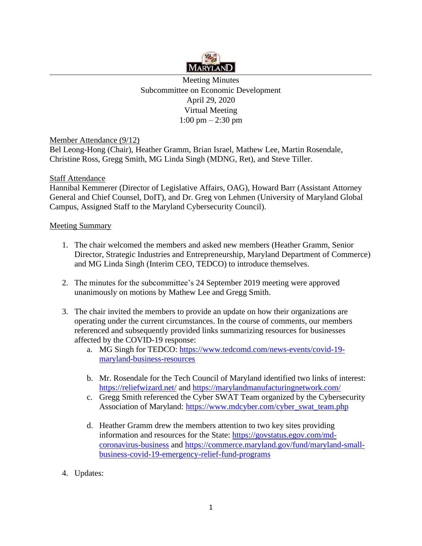

Meeting Minutes Subcommittee on Economic Development April 29, 2020 Virtual Meeting 1:00 pm – 2:30 pm

Member Attendance (9/12)

Bel Leong-Hong (Chair), Heather Gramm, Brian Israel, Mathew Lee, Martin Rosendale, Christine Ross, Gregg Smith, MG Linda Singh (MDNG, Ret), and Steve Tiller.

## **Staff Attendance**

Hannibal Kemmerer (Director of Legislative Affairs, OAG), Howard Barr (Assistant Attorney General and Chief Counsel, DoIT), and Dr. Greg von Lehmen (University of Maryland Global Campus, Assigned Staff to the Maryland Cybersecurity Council).

## Meeting Summary

- 1. The chair welcomed the members and asked new members (Heather Gramm, Senior Director, Strategic Industries and Entrepreneurship, Maryland Department of Commerce) and MG Linda Singh (Interim CEO, TEDCO) to introduce themselves.
- 2. The minutes for the subcommittee's 24 September 2019 meeting were approved unanimously on motions by Mathew Lee and Gregg Smith.
- 3. The chair invited the members to provide an update on how their organizations are operating under the current circumstances. In the course of comments, our members referenced and subsequently provided links summarizing resources for businesses affected by the COVID-19 response:
	- a. MG Singh for TEDCO: [https://www.tedcomd.com/news-events/covid-19](https://www.tedcomd.com/news-events/covid-19-maryland-business-resources) [maryland-business-resources](https://www.tedcomd.com/news-events/covid-19-maryland-business-resources)
	- b. Mr. Rosendale for the Tech Council of Maryland identified two links of interest: <https://reliefwizard.net/> and<https://marylandmanufacturingnetwork.com/>
	- c. Gregg Smith referenced the Cyber SWAT Team organized by the Cybersecurity Association of Maryland: [https://www.mdcyber.com/cyber\\_swat\\_team.php](https://www.mdcyber.com/cyber_swat_team.php)
	- d. Heather Gramm drew the members attention to two key sites providing information and resources for the State: [https://govstatus.egov.com/md](https://govstatus.egov.com/md-coronavirus-business)[coronavirus-business](https://govstatus.egov.com/md-coronavirus-business) and [https://commerce.maryland.gov/fund/maryland-small](https://commerce.maryland.gov/fund/maryland-small-business-covid-19-emergency-relief-fund-programs)[business-covid-19-emergency-relief-fund-programs](https://commerce.maryland.gov/fund/maryland-small-business-covid-19-emergency-relief-fund-programs)
- 4. Updates: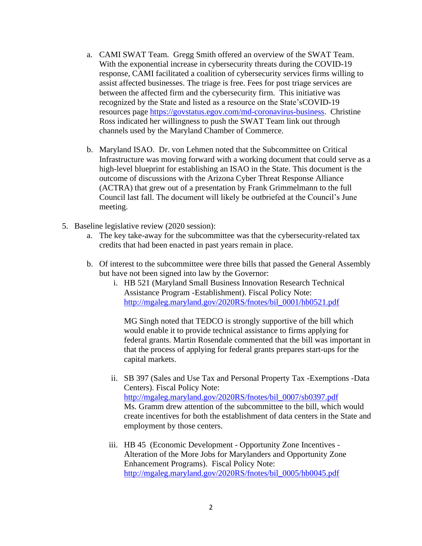- a. CAMI SWAT Team. Gregg Smith offered an overview of the SWAT Team. With the exponential increase in cybersecurity threats during the COVID-19 response, CAMI facilitated a coalition of cybersecurity services firms willing to assist affected businesses. The triage is free. Fees for post triage services are between the affected firm and the cybersecurity firm. This initiative was recognized by the State and listed as a resource on the State'sCOVID-19 resources page [https://govstatus.egov.com/md-coronavirus-business.](https://govstatus.egov.com/md-coronavirus-business) Christine Ross indicated her willingness to push the SWAT Team link out through channels used by the Maryland Chamber of Commerce.
- b. Maryland ISAO. Dr. von Lehmen noted that the Subcommittee on Critical Infrastructure was moving forward with a working document that could serve as a high-level blueprint for establishing an ISAO in the State. This document is the outcome of discussions with the Arizona Cyber Threat Response Alliance (ACTRA) that grew out of a presentation by Frank Grimmelmann to the full Council last fall. The document will likely be outbriefed at the Council's June meeting.
- 5. Baseline legislative review (2020 session):
	- a. The key take-away for the subcommittee was that the cybersecurity-related tax credits that had been enacted in past years remain in place.
	- b. Of interest to the subcommittee were three bills that passed the General Assembly but have not been signed into law by the Governor:
		- i. HB 521 (Maryland Small Business Innovation Research Technical Assistance Program -Establishment). Fiscal Policy Note: [http://mgaleg.maryland.gov/2020RS/fnotes/bil\\_0001/hb0521.pdf](http://mgaleg.maryland.gov/2020RS/fnotes/bil_0001/hb0521.pdf)

MG Singh noted that TEDCO is strongly supportive of the bill which would enable it to provide technical assistance to firms applying for federal grants. Martin Rosendale commented that the bill was important in that the process of applying for federal grants prepares start-ups for the capital markets.

- ii. SB 397 (Sales and Use Tax and Personal Property Tax -Exemptions -Data Centers). Fiscal Policy Note: [http://mgaleg.maryland.gov/2020RS/fnotes/bil\\_0007/sb0397.pdf](http://mgaleg.maryland.gov/2020RS/fnotes/bil_0007/sb0397.pdf) Ms. Gramm drew attention of the subcommittee to the bill, which would create incentives for both the establishment of data centers in the State and employment by those centers.
- iii. HB 45 (Economic Development Opportunity Zone Incentives Alteration of the More Jobs for Marylanders and Opportunity Zone Enhancement Programs). Fiscal Policy Note: [http://mgaleg.maryland.gov/2020RS/fnotes/bil\\_0005/hb0045.pdf](http://mgaleg.maryland.gov/2020RS/fnotes/bil_0005/hb0045.pdf)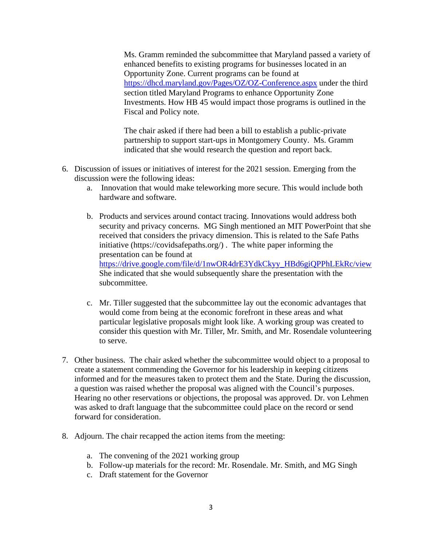Ms. Gramm reminded the subcommittee that Maryland passed a variety of enhanced benefits to existing programs for businesses located in an Opportunity Zone. Current programs can be found at <https://dhcd.maryland.gov/Pages/OZ/OZ-Conference.aspx> under the third section titled Maryland Programs to enhance Opportunity Zone Investments. How HB 45 would impact those programs is outlined in the Fiscal and Policy note.

The chair asked if there had been a bill to establish a public-private partnership to support start-ups in Montgomery County. Ms. Gramm indicated that she would research the question and report back.

- 6. Discussion of issues or initiatives of interest for the 2021 session. Emerging from the discussion were the following ideas:
	- a. Innovation that would make teleworking more secure. This would include both hardware and software.
	- b. Products and services around contact tracing. Innovations would address both security and privacy concerns. MG Singh mentioned an MIT PowerPoint that she received that considers the privacy dimension. This is related to the Safe Paths initiative [\(https://covidsafepaths.org/](https://covidsafepaths.org/)) . The white paper informing the presentation can be found at [https://drive.google.com/file/d/1nwOR4drE3YdkCkyy\\_HBd6giQPPhLEkRc/view](https://drive.google.com/file/d/1nwOR4drE3YdkCkyy_HBd6giQPPhLEkRc/view)  She indicated that she would subsequently share the presentation with the subcommittee.
	- c. Mr. Tiller suggested that the subcommittee lay out the economic advantages that would come from being at the economic forefront in these areas and what particular legislative proposals might look like. A working group was created to consider this question with Mr. Tiller, Mr. Smith, and Mr. Rosendale volunteering to serve.
- 7. Other business. The chair asked whether the subcommittee would object to a proposal to create a statement commending the Governor for his leadership in keeping citizens informed and for the measures taken to protect them and the State. During the discussion, a question was raised whether the proposal was aligned with the Council's purposes. Hearing no other reservations or objections, the proposal was approved. Dr. von Lehmen was asked to draft language that the subcommittee could place on the record or send forward for consideration.
- 8. Adjourn. The chair recapped the action items from the meeting:
	- a. The convening of the 2021 working group
	- b. Follow-up materials for the record: Mr. Rosendale. Mr. Smith, and MG Singh
	- c. Draft statement for the Governor